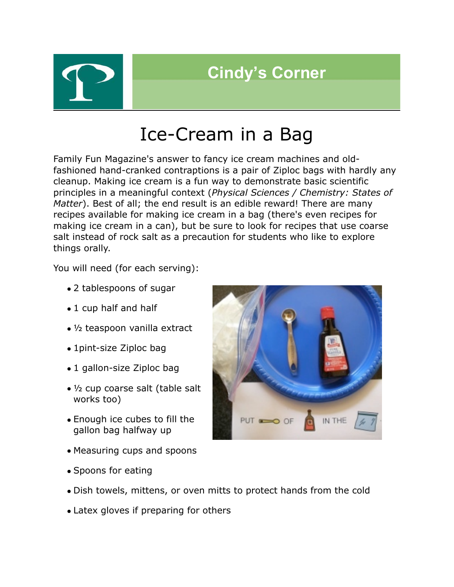**Cindy's Corner** 



## Ice-Cream in a Bag

to teach basic concepts, functional hand skills and introduction to a microwave. fashioned hand-cranked contraptions is a pair of Ziploc bags with hardly any cleanup. Making ice cream is a fun way to demonstrate basic scientific principles in a meaningful context (*Physical Sciences / Chemistry: States of* prod in a modificial contact (*the side occurses*) of *Matter*). Best of all; the end result is an edible reward! There are many recipes available for making ice cream in a bag (there's even recipes for making ice cream in a can), but be sure to look for recipes that use coarse salt instead of rock salt as a precaution for students who like to explore things orally.  $\mathcal{L}$  represents for fastening the finished gloves for fastening the finished gloves for fastening the finished gloves for  $\mathcal{L}$ Family Fun Magazine's answer to fancy ice cream machines and old-

You will need (for each serving):

- 
- 
- 
- 
- 
- (*finger isolation* and *pushing with strength).* For nonreaders, eager to operate the works too)
- a row to out-line the sequence of buttons to push. For Braille readers, encourage Enough ice cubes to fill the emodgin ide babbo to initire<br>gallon bag halfway up
- Provide as much physical support and modeling as needed as you go from step-to-step in • Measuring cups and spoons **bead as a challenging hand skill for a** challenging hand skill for a challenging hand skill for a challenging hand skill for a challenging hand skill for a challenging hand skill for a challeng
- many students. It involves *two hands together, using symmetrical movement while*  • Spoons for eating **Formula** a bowl can also be challenging. It is a bowl can also be challenging. It is a bowl can also be challenging. It is a bowl can also be challenging. It is a bowl can also be challenging. It is a
	- Dish towels, mittens, or oven mitts to protect hands from the cold
	- Latex gloves if preparing for others

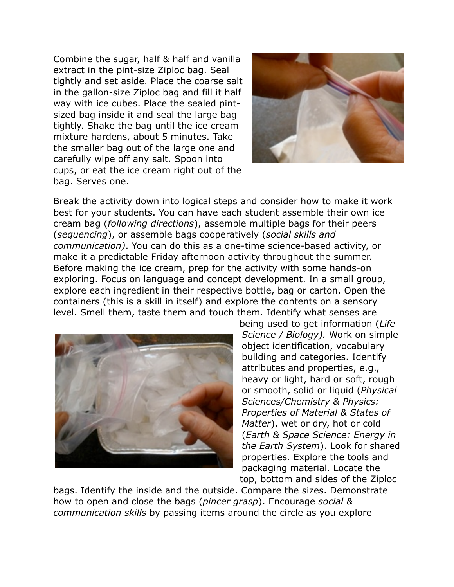Combine the sugar, half & half and vanilla extract in the pint-size Ziploc bag. Seal tightly and set aside. Place the coarse salt in the gallon-size Ziploc bag and fill it half way with ice cubes. Place the sealed pintsized bag inside it and seal the large bag tightly. Shake the bag until the ice cream mixture hardens, about 5 minutes. Take the smaller bag out of the large one and carefully wipe off any salt. Spoon into cups, or eat the ice cream right out of the bag. Serves one.



Break the activity down into logical steps and consider how to make it work best for your students. You can have each student assemble their own ice cream bag (*following directions*), assemble multiple bags for their peers (*sequencing*), or assemble bags cooperatively (*social skills and communication)*. You can do this as a one-time science-based activity, or make it a predictable Friday afternoon activity throughout the summer. Before making the ice cream, prep for the activity with some hands-on exploring. Focus on language and concept development. In a small group, explore each ingredient in their respective bottle, bag or carton. Open the containers (this is a skill in itself) and explore the contents on a sensory level. Smell them, taste them and touch them. Identify what senses are



being used to get information (*Life Science / Biology).* Work on simple object identification, vocabulary building and categories. Identify attributes and properties, e.g., heavy or light, hard or soft, rough or smooth, solid or liquid (*Physical Sciences/Chemistry & Physics: Properties of Material & States of Matter*), wet or dry, hot or cold (*Earth & Space Science: Energy in the Earth System*). Look for shared properties. Explore the tools and packaging material. Locate the top, bottom and sides of the Ziploc

bags. Identify the inside and the outside. Compare the sizes. Demonstrate how to open and close the bags (*pincer grasp*). Encourage *social & communication skills* by passing items around the circle as you explore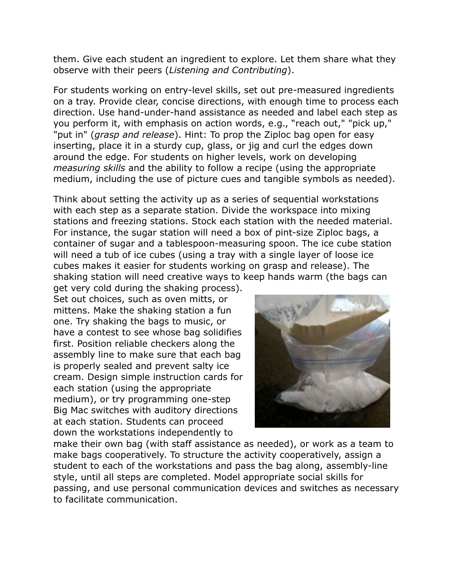them. Give each student an ingredient to explore. Let them share what they observe with their peers (*Listening and Contributing*).

For students working on entry-level skills, set out pre-measured ingredients on a tray. Provide clear, concise directions, with enough time to process each direction. Use hand-under-hand assistance as needed and label each step as you perform it, with emphasis on action words, e.g., "reach out," "pick up," "put in" (*grasp and release*). Hint: To prop the Ziploc bag open for easy inserting, place it in a sturdy cup, glass, or jig and curl the edges down around the edge. For students on higher levels, work on developing *measuring skills* and the ability to follow a recipe (using the appropriate medium, including the use of picture cues and tangible symbols as needed).

Think about setting the activity up as a series of sequential workstations with each step as a separate station. Divide the workspace into mixing stations and freezing stations. Stock each station with the needed material. For instance, the sugar station will need a box of pint-size Ziploc bags, a container of sugar and a tablespoon-measuring spoon. The ice cube station will need a tub of ice cubes (using a tray with a single layer of loose ice cubes makes it easier for students working on grasp and release). The shaking station will need creative ways to keep hands warm (the bags can

get very cold during the shaking process). Set out choices, such as oven mitts, or mittens. Make the shaking station a fun one. Try shaking the bags to music, or have a contest to see whose bag solidifies first. Position reliable checkers along the assembly line to make sure that each bag is properly sealed and prevent salty ice cream. Design simple instruction cards for each station (using the appropriate medium), or try programming one-step Big Mac switches with auditory directions at each station. Students can proceed down the workstations independently to



make their own bag (with staff assistance as needed), or work as a team to make bags cooperatively. To structure the activity cooperatively, assign a student to each of the workstations and pass the bag along, assembly-line style, until all steps are completed. Model appropriate social skills for passing, and use personal communication devices and switches as necessary to facilitate communication.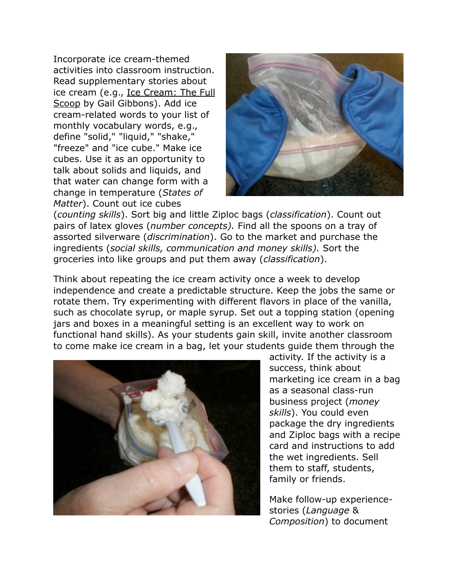Incorporate ice cream-themed activities into classroom instruction. Read supplementary stories about ice cream (e.g., Ice Cream: The Full Scoop by Gail Gibbons). Add ice cream-related words to your list of monthly vocabulary words, e.g., define "solid," "liquid," "shake," "freeze" and "ice cube." Make ice cubes. Use it as an opportunity to talk about solids and liquids, and that water can change form with a change in temperature (*States of Matter*). Count out ice cubes



(*counting skills*). Sort big and little Ziploc bags (*classification*). Count out pairs of latex gloves (*number concepts).* Find all the spoons on a tray of assorted silverware (*discrimination*). Go to the market and purchase the ingredients (*social skills, communication and money skills).* Sort the groceries into like groups and put them away (*classification*).

Think about repeating the ice cream activity once a week to develop independence and create a predictable structure. Keep the jobs the same or rotate them. Try experimenting with different flavors in place of the vanilla, such as chocolate syrup, or maple syrup. Set out a topping station (opening jars and boxes in a meaningful setting is an excellent way to work on functional hand skills). As your students gain skill, invite another classroom to come make ice cream in a bag, let your students guide them through the



activity. If the activity is a success, think about marketing ice cream in a bag as a seasonal class-run business project (*money skills*). You could even package the dry ingredients and Ziploc bags with a recipe card and instructions to add the wet ingredients. Sell them to staff, students, family or friends.

Make follow-up experiencestories (*Language* & *Composition*) to document